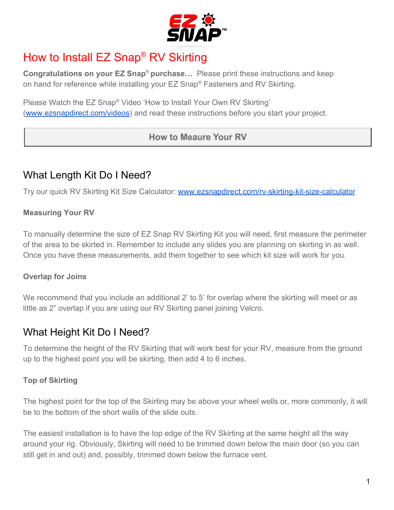

# How to Install EZ Snap® RV Skirting

**Congratulations on your EZ Snap**® **purchase…** Please print these instructions and keep on hand for reference while installing your EZ Snap® Fasteners and RV Skirting.

Please Watch the EZ Snap® Video 'How to Install Your Own RV Skirting' ([www.ezsnapdirect.com/videos\)](https://ezsnapdirect.com/videos/) and read these instructions before you start your project.

## How to Meaure Your RV

# What Length Kit Do I Need?

Try our quick RV Skirting Kit Size Calculator: [www.ezsnapdirect.com/rv-skirting-kit-size-calculator](https://ezsnapdirect.com/rv-skirting-kit-size-calculator/)

## **Measuring Your RV**

To manually determine the size of EZ Snap RV Skirting Kit you will need, first measure the perimeter of the area to be skirted in. Remember to include any slides you are planning on skirting in as well. Once you have these measurements, add them together to see which kit size will work for you.

## **Overlap for Joins**

We recommend that you include an additional 2' to 5' for overlap where the skirting will meet or as little as 2" overlap if you are using our RV Skirting panel joining Velcro.

# What Height Kit Do I Need?

To determine the height of the RV Skirting that will work best for your RV, measure from the ground up to the highest point you will be skirting, then add 4 to 6 inches.

## **Top of Skirting**

The highest point for the top of the Skirting may be above your wheel wells or, more commonly, it will be to the bottom of the short walls of the slide outs.

The easiest installation is to have the top edge of the RV Skirting at the same height all the way around your rig. Obviously, Skirting will need to be trimmed down below the main door (so you can still get in and out) and, possibly, trimmed down below the furnace vent.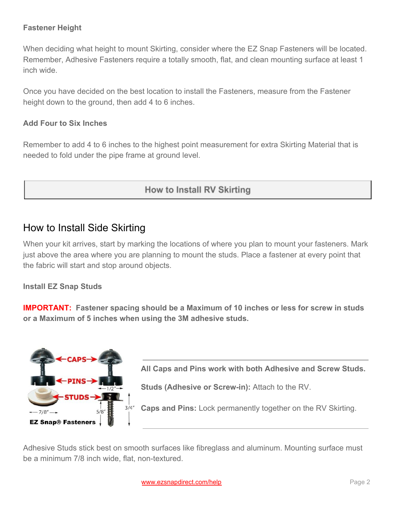## **Fastener Height**

When deciding what height to mount Skirting, consider where the EZ Snap Fasteners will be located. Remember, Adhesive Fasteners require a totally smooth, flat, and clean mounting surface at least 1 inch wide.

Once you have decided on the best location to install the Fasteners, measure from the Fastener height down to the ground, then add 4 to 6 inches.

## **Add Four to Six Inches**

Remember to add 4 to 6 inches to the highest point measurement for extra Skirting Material that is needed to fold under the pipe frame at ground level.

## How to Install RV Skirting

## How to Install Side Skirting

When your kit arrives, start by marking the locations of where you plan to mount your fasteners. Mark just above the area where you are planning to mount the studs. Place a fastener at every point that the fabric will start and stop around objects.

## **Install EZ Snap Studs**

**IMPORTANT: Fastener spacing should be a Maximum of 10 inches or less for screw in studs or a Maximum of 5 inches when using the 3M adhesive studs.**



**All Caps and Pins work with both Adhesive and Screw Studs.**

**Studs (Adhesive or Screw-in):** Attach to the RV.

**Caps and Pins:** Lock permanently together on the RV Skirting.

Adhesive Studs stick best on smooth surfaces like fibreglass and aluminum. Mounting surface must be a minimum 7/8 inch wide, flat, non-textured.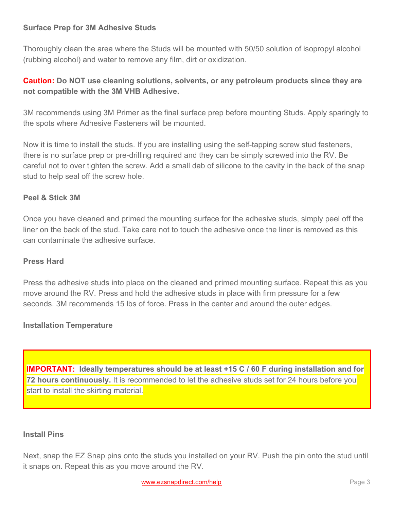## **Surface Prep for 3M Adhesive Studs**

Thoroughly clean the area where the Studs will be mounted with 50/50 solution of isopropyl alcohol (rubbing alcohol) and water to remove any film, dirt or oxidization.

## **Caution: Do NOT use cleaning solutions, solvents, or any petroleum products since they are not compatible with the 3M VHB Adhesive.**

3M recommends using 3M Primer as the final surface prep before mounting Studs. Apply sparingly to the spots where Adhesive Fasteners will be mounted.

Now it is time to install the studs. If you are installing using the self-tapping screw stud fasteners, there is no surface prep or pre-drilling required and they can be simply screwed into the RV. Be careful not to over tighten the screw. Add a small dab of silicone to the cavity in the back of the snap stud to help seal off the screw hole.

## **Peel & Stick 3M**

Once you have cleaned and primed the mounting surface for the adhesive studs, simply peel off the liner on the back of the stud. Take care not to touch the adhesive once the liner is removed as this can contaminate the adhesive surface.

## **Press Hard**

Press the adhesive studs into place on the cleaned and primed mounting surface. Repeat this as you move around the RV. Press and hold the adhesive studs in place with firm pressure for a few seconds. 3M recommends 15 lbs of force. Press in the center and around the outer edges.

## **Installation Temperature**

**IMPORTANT: Ideally temperatures should be at least +15 C / 60 F during installation and for 72 hours continuously.** It is recommended to let the adhesive studs set for 24 hours before you start to install the skirting material.

#### **Install Pins**

Next, snap the EZ Snap pins onto the studs you installed on your RV. Push the pin onto the stud until it snaps on. Repeat this as you move around the RV.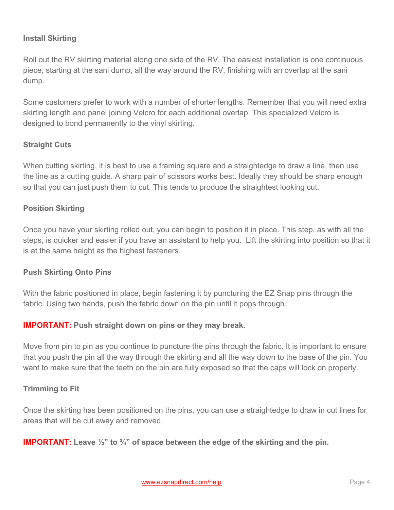## **Install Skirting**

Roll out the RV skirting material along one side of the RV. The easiest installation is one continuous piece, starting at the sani dump, all the way around the RV, finishing with an overlap at the sani dump.

Some customers prefer to work with a number of shorter lengths. Remember that you will need extra skirting length and panel joining Velcro for each additional overlap. This specialized Velcro is designed to bond permanently to the vinyl skirting.

## **Straight Cuts**

When cutting skirting, it is best to use a framing square and a straightedge to draw a line, then use the line as a cutting guide. A sharp pair of scissors works best. Ideally they should be sharp enough so that you can just push them to cut. This tends to produce the straightest looking cut.

## **Position Skirting**

Once you have your skirting rolled out, you can begin to position it in place. This step, as with all the steps, is quicker and easier if you have an assistant to help you. Lift the skirting into position so that it is at the same height as the highest fasteners.

#### **Push Skirting Onto Pins**

With the fabric positioned in place, begin fastening it by puncturing the EZ Snap pins through the fabric. Using two hands, push the fabric down on the pin until it pops through.

## **IMPORTANT: Push straight down on pins or they may break.**

Move from pin to pin as you continue to puncture the pins through the fabric. It is important to ensure that you push the pin all the way through the skirting and all the way down to the base of the pin. You want to make sure that the teeth on the pin are fully exposed so that the caps will lock on properly.

#### **Trimming to Fit**

Once the skirting has been positioned on the pins, you can use a straightedge to draw in cut lines for areas that will be cut away and removed.

#### **IMPORTANT:** Leave  $\frac{1}{2}$ " to  $\frac{3}{4}$ " of space between the edge of the skirting and the pin.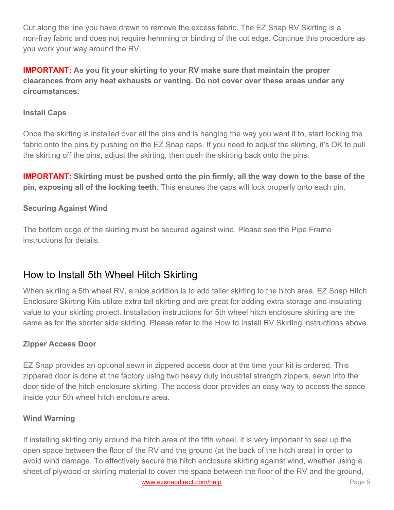Cut along the line you have drawn to remove the excess fabric. The EZ Snap RV Skirting is a non-fray fabric and does not require hemming or binding of the cut edge. Continue this procedure as you work your way around the RV.

**IMPORTANT: As you fit your skirting to your RV make sure that maintain the proper clearances from any heat exhausts or venting. Do not cover over these areas under any circumstances.**

## **Install Caps**

Once the skirting is installed over all the pins and is hanging the way you want it to, start locking the fabric onto the pins by pushing on the EZ Snap caps. If you need to adjust the skirting, it's OK to pull the skirting off the pins, adjust the skirting, then push the skirting back onto the pins.

**IMPORTANT: Skirting must be pushed onto the pin firmly, all the way down to the base of the pin, exposing all of the locking teeth.** This ensures the caps will lock properly onto each pin.

## **Securing Against Wind**

The bottom edge of the skirting must be secured against wind. Please see the Pipe Frame instructions for details.

## How to Install 5th Wheel Hitch Skirting

When skirting a 5th wheel RV, a nice addition is to add taller skirting to the hitch area. EZ Snap Hitch Enclosure Skirting Kits utilize extra tall skirting and are great for adding extra storage and insulating value to your skirting project. Installation instructions for 5th wheel hitch enclosure skirting are the same as for the shorter side skirting. Please refer to the How to Install RV Skirting instructions above.

## **Zipper Access Door**

EZ Snap provides an optional sewn in zippered access door at the time your kit is ordered. This zippered door is done at the factory using two heavy duty industrial strength zippers, sewn into the door side of the hitch enclosure skirting. The access door provides an easy way to access the space inside your 5th wheel hitch enclosure area.

## **Wind Warning**

If installing skirting only around the hitch area of the fifth wheel, it is very important to seal up the open space between the floor of the RV and the ground (at the back of the hitch area) in order to avoid wind damage. To effectively secure the hitch enclosure skirting against wind, whether using a sheet of plywood or skirting material to cover the space between the floor of the RV and the ground, [www.ezsnapdirect.com/help](https://www.ezsnapdirect.com/) **Page 5**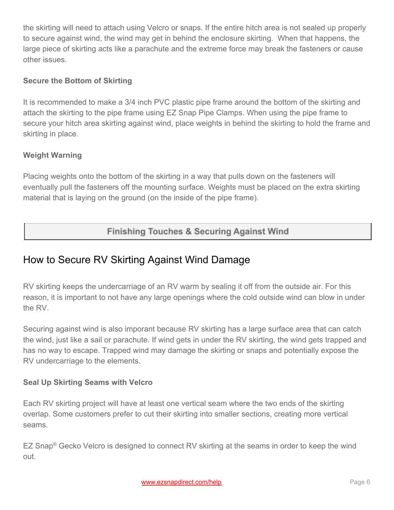the skirting will need to attach using Velcro or snaps. If the entire hitch area is not sealed up properly to secure against wind, the wind may get in behind the enclosure skirting. When that happens, the large piece of skirting acts like a parachute and the extreme force may break the fasteners or cause other issues.

## **Secure the Bottom of Skirting**

It is recommended to make a 3/4 inch PVC plastic pipe frame around the bottom of the skirting and attach the skirting to the pipe frame using EZ Snap Pipe Clamps. When using the pipe frame to secure your hitch area skirting against wind, place weights in behind the skirting to hold the frame and skirting in place.

## **Weight Warning**

Placing weights onto the bottom of the skirting in a way that pulls down on the fasteners will eventually pull the fasteners off the mounting surface. Weights must be placed on the extra skirting material that is laying on the ground (on the inside of the pipe frame).

## **Finishing Touches & Securing Against Wind**

# How to Secure RV Skirting Against Wind Damage

RV skirting keeps the undercarriage of an RV warm by sealing it off from the outside air. For this reason, it is important to not have any large openings where the cold outside wind can blow in under the RV.

Securing against wind is also imporant because RV skirting has a large surface area that can catch the wind, just like a sail or parachute. If wind gets in under the RV skirting, the wind gets trapped and has no way to escape. Trapped wind may damage the skirting or snaps and potentially expose the RV undercarriage to the elements.

## **Seal Up Skirting Seams with Velcro**

Each RV skirting project will have at least one vertical seam where the two ends of the skirting overlap. Some customers prefer to cut their skirting into smaller sections, creating more vertical seams.

EZ Snap<sup>®</sup> Gecko Velcro is designed to connect RV skirting at the seams in order to keep the wind out.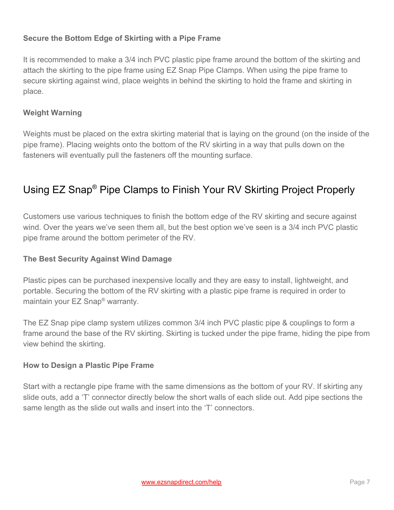## **Secure the Bottom Edge of Skirting with a Pipe Frame**

It is recommended to make a 3/4 inch PVC plastic pipe frame around the bottom of the skirting and attach the skirting to the pipe frame using EZ Snap Pipe Clamps. When using the pipe frame to secure skirting against wind, place weights in behind the skirting to hold the frame and skirting in place.

## **Weight Warning**

Weights must be placed on the extra skirting material that is laying on the ground (on the inside of the pipe frame). Placing weights onto the bottom of the RV skirting in a way that pulls down on the fasteners will eventually pull the fasteners off the mounting surface.

# Using EZ Snap ® Pipe Clamps to Finish Your RV Skirting Project Properly

Customers use various techniques to finish the bottom edge of the RV skirting and secure against wind. Over the years we've seen them all, but the best option we've seen is a 3/4 inch PVC plastic pipe frame around the bottom perimeter of the RV.

## **The Best Security Against Wind Damage**

Plastic pipes can be purchased inexpensive locally and they are easy to install, lightweight, and portable. Securing the bottom of the RV skirting with a plastic pipe frame is required in order to maintain your EZ Snap® warranty.

The EZ Snap pipe clamp system utilizes common 3/4 inch PVC plastic pipe & couplings to form a frame around the base of the RV skirting. Skirting is tucked under the pipe frame, hiding the pipe from view behind the skirting.

#### **How to Design a Plastic Pipe Frame**

Start with a rectangle pipe frame with the same dimensions as the bottom of your RV. If skirting any slide outs, add a 'T' connector directly below the short walls of each slide out. Add pipe sections the same length as the slide out walls and insert into the 'T' connectors.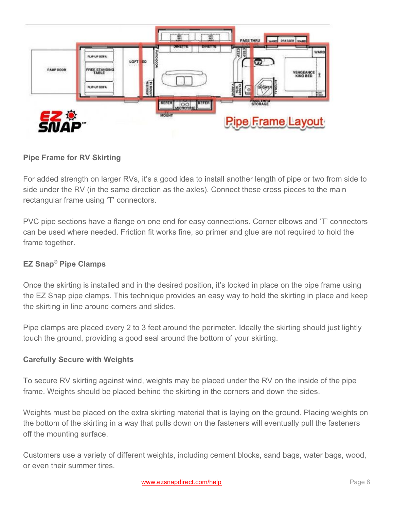

## **Pipe Frame for RV Skirting**

For added strength on larger RVs, it's a good idea to install another length of pipe or two from side to side under the RV (in the same direction as the axles). Connect these cross pieces to the main rectangular frame using 'T' connectors.

PVC pipe sections have a flange on one end for easy connections. Corner elbows and 'T' connectors can be used where needed. Friction fit works fine, so primer and glue are not required to hold the frame together.

## **EZ Snap® Pipe Clamps**

Once the skirting is installed and in the desired position, it's locked in place on the pipe frame using the EZ Snap pipe clamps. This technique provides an easy way to hold the skirting in place and keep the skirting in line around corners and slides.

Pipe clamps are placed every 2 to 3 feet around the perimeter. Ideally the skirting should just lightly touch the ground, providing a good seal around the bottom of your skirting.

## **Carefully Secure with Weights**

To secure RV skirting against wind, weights may be placed under the RV on the inside of the pipe frame. Weights should be placed behind the skirting in the corners and down the sides.

Weights must be placed on the extra skirting material that is laying on the ground. Placing weights on the bottom of the skirting in a way that pulls down on the fasteners will eventually pull the fasteners off the mounting surface.

Customers use a variety of different weights, including cement blocks, sand bags, water bags, wood, or even their summer tires.